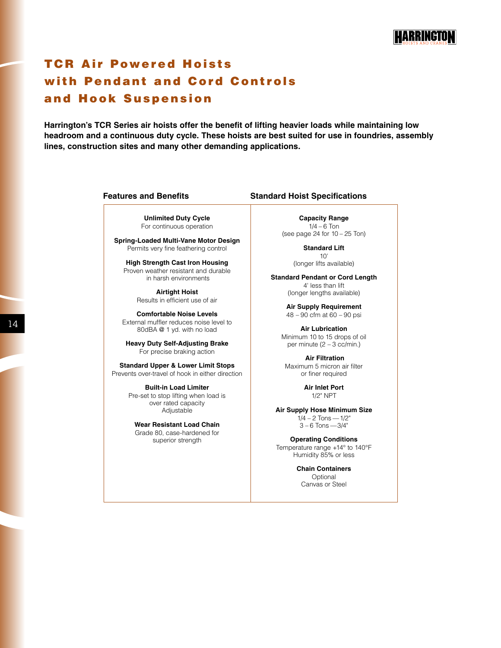# **TCR Air Powered Hoists** with Pendant and Cord Controls and Hook Suspension

**Harrington's TCR Series air hoists offer the benefit of lifting heavier loads while maintaining low headroom and a continuous duty cycle. These hoists are best suited for use in foundries, assembly lines, construction sites and many other demanding applications.**

**Unlimited Duty Cycle** For continuous operation

**Spring-Loaded Multi-Vane Motor Design** Permits very fine feathering control

**High Strength Cast Iron Housing** Proven weather resistant and durable in harsh environments

> **Airtight Hoist** Results in efficient use of air

**Comfortable Noise Levels** External muffler reduces noise level to 80dBA @ 1 yd. with no load

**Heavy Duty Self-Adjusting Brake** For precise braking action

**Standard Upper & Lower Limit Stops** Prevents over-travel of hook in either direction

> **Built-in Load Limiter** Pre-set to stop lifting when load is over rated capacity Adjustable

**Wear Resistant Load Chain** Grade 80, case-hardened for superior strength

#### **Features and Benefits Standard Hoist Specifications**

**Capacity Range**  $1/4 - 6$  Ton (see page 24 for 10 – 25 Ton)

> **Standard Lift** 10'

(longer lifts available)

**Standard Pendant or Cord Length** 4' less than lift (longer lengths available)

> **Air Supply Requirement** 48 – 90 cfm at 60 – 90 psi

**Air Lubrication** Minimum 10 to 15 drops of oil per minute (2 – 3 cc/min.)

 **Air Filtration** Maximum 5 micron air filter or finer required

> **Air Inlet Port** 1/2" NPT

**Air Supply Hose Minimum Size**  $1/4 - 2$  Tons —  $1/2$ "  $3 - 6$  Tons  $-3/4"$ 

**Operating Conditions** Temperature range +14° to 140°F Humidity 85% or less

> **Chain Containers** Optional Canvas or Steel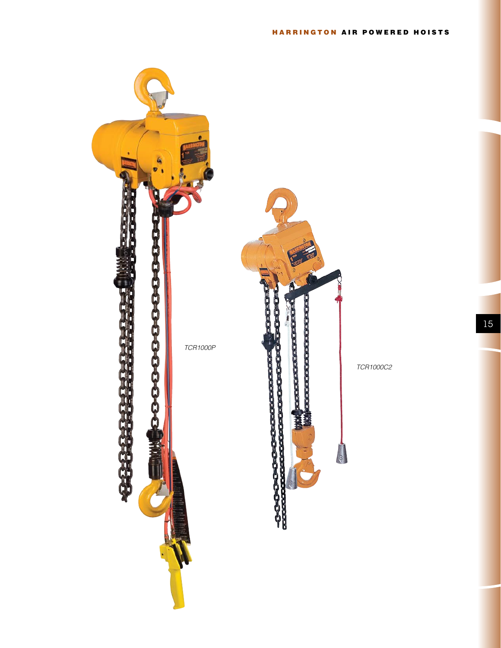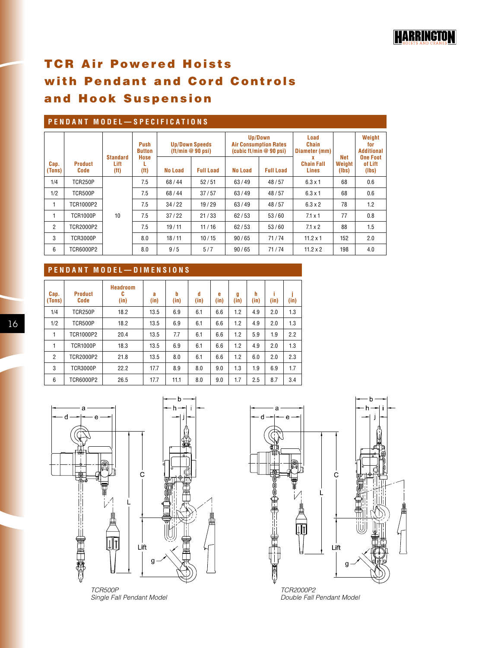# **TCR Air Powered Hoists** with Pendant and Cord Controls and Hook Suspension

### **Pendant Model—S p ecification s**

|                |                        | <b>Standard</b>                                       | Push<br><b>Button</b><br>Hose | <b>Up/Down Speeds</b><br>(t/t/min@90 psi) |                  | Up/Down | <b>Air Consumption Rates</b><br>(cubic ft/min $@90$ psi) | Load<br>Chain<br>Diameter (mm)<br>x | Net             | Weight<br>for<br><b>Additional</b><br><b>One Foot</b> |
|----------------|------------------------|-------------------------------------------------------|-------------------------------|-------------------------------------------|------------------|---------|----------------------------------------------------------|-------------------------------------|-----------------|-------------------------------------------------------|
| Cap.<br>(Tons) | <b>Product</b><br>Code | Lift<br>(f <sup>t</sup> )<br>(f <sup>t</sup> )<br>7.5 |                               | <b>No Load</b>                            | <b>Full Load</b> | No Load | <b>Full Load</b>                                         | <b>Chain Fall</b><br>Lines          | Weight<br>(Ibs) | of Lift<br>(lbs)                                      |
| 1/4            | <b>TCR250P</b>         |                                                       |                               | 68/44                                     | 52/51            | 63/49   | 48/57                                                    | $6.3 \times 1$                      | 68              | 0.6                                                   |
| 1/2            | <b>TCR500P</b>         | 7.5                                                   |                               | 68/44                                     | 37/57            | 63/49   | 48/57                                                    | $6.3 \times 1$                      | 68              | 0.6                                                   |
|                | TCR1000P2              | 7.5                                                   |                               | 34/22                                     | 19/29            |         | 48/57                                                    | $6.3 \times 2$                      | 78              | 1.2                                                   |
|                | <b>TCR1000P</b>        | 10                                                    | 7.5                           | 37/22                                     | 21/33            | 62/53   | 53/60                                                    | $7.1 \times 1$                      | 77              | 0.8                                                   |
| $\overline{2}$ | <b>TCR2000P2</b>       |                                                       | 7.5                           | 19/11                                     | 11/16            | 62/53   | 53/60                                                    | $7.1 \times 2$                      | 88              | 1.5                                                   |
| 3              | <b>TCR3000P</b>        |                                                       | 8.0                           | 18/11                                     | 10/15            | 90/65   | 71/74                                                    | $11.2 \times 1$                     | 152             | 2.0                                                   |
| 6              | <b>TCR6000P2</b>       |                                                       | 8.0                           | 9/5                                       | 5/7              | 90/65   | 71/74                                                    | $11.2 \times 2$                     | 198             | 4.0                                                   |

# **Pendant Model— D i m e n s ion s**

| Cap.<br>(Tons) | <b>Product</b><br>Code | <b>Headroom</b><br>C<br>(in) | a<br>(in) | b<br>(in) | d<br>(in) | e<br>(in) | g<br>(in) | h<br>(in) | (in) | ٠<br>(in) |
|----------------|------------------------|------------------------------|-----------|-----------|-----------|-----------|-----------|-----------|------|-----------|
| 1/4            | <b>TCR250P</b>         | 18.2                         | 13.5      | 6.9       | 6.1       | 6.6       | 1.2       | 4.9       | 2.0  | 1.3       |
| 1/2            | <b>TCR500P</b>         | 18.2                         | 13.5      | 6.9       | 6.1       | 6.6       | 1.2       | 4.9       | 2.0  | 1.3       |
| 1              | TCR1000P2              | 20.4                         | 13.5      | 7.7       | 6.1       | 6.6       | 1.2       | 5.9       | 1.9  | 2.2       |
| 1              | <b>TCR1000P</b>        | 18.3                         | 13.5      | 6.9       | 6.1       | 6.6       | 1.2       | 4.9       | 2.0  | 1.3       |
| $\overline{2}$ | TCR2000P2              | 21.8                         | 13.5      | 8.0       | 6.1       | 6.6       | 1.2       | 6.0       | 2.0  | 2.3       |
| 3              | <b>TCR3000P</b>        | 22.2                         | 17.7      | 8.9       | 8.0       | 9.0       | 1.3       | 1.9       | 6.9  | 1.7       |
| 6              | TCR6000P2              | 26.5                         | 17.7      | 11.1      | 8.0       | 9.0       | 1.7       | 2.5       | 8.7  | 3.4       |



*TCR500P Single Fall Pendant Model*



*Double Fall Pendant Model*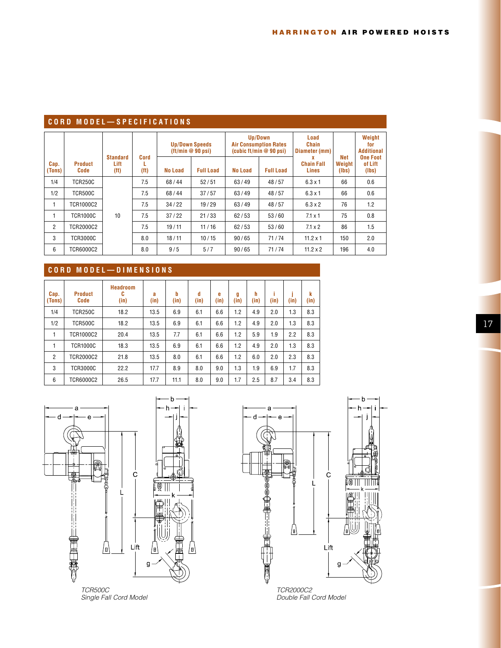### **cord Model—S p ecification s**

|                |                        | <b>Standard</b>           | Cord                   |         | <b>Up/Down Speeds</b><br>(tt/min@90 psi) |                | Up/Down<br><b>Air Consumption Rates</b><br>(cubic ft/min $@90$ psi) | Load<br>Chain<br>Diameter (mm)  | Net             | Weight<br>for<br><b>Additional</b><br><b>One Foot</b> |
|----------------|------------------------|---------------------------|------------------------|---------|------------------------------------------|----------------|---------------------------------------------------------------------|---------------------------------|-----------------|-------------------------------------------------------|
| Cap.<br>(Tons) | <b>Product</b><br>Code | Lift<br>(f <sup>t</sup> ) | L<br>(f <sup>t</sup> ) | No Load | <b>Full Load</b>                         | <b>No Load</b> | <b>Full Load</b>                                                    | x<br><b>Chain Fall</b><br>Lines | Weight<br>(Ibs) | of Lift<br>(Ibs)                                      |
| 1/4            | <b>TCR250C</b>         |                           | 7.5                    | 68/44   | 52/51                                    | 63/49          | 48/57                                                               | $6.3 \times 1$                  | 66              | 0.6                                                   |
| 1/2            | <b>TCR500C</b>         |                           | 7.5                    | 68/44   | 37/57                                    | 63/49          | 48/57                                                               | $6.3 \times 1$                  | 66              | 0.6                                                   |
| л.             | TCR1000C2              |                           | 7.5                    | 34/22   | 19/29                                    | 63/49          | 48/57                                                               | $6.3 \times 2$                  | 76              | 1.2                                                   |
|                | <b>TCR1000C</b>        | 10                        | 7.5                    | 37/22   | 21/33                                    | 62/53          | 53/60                                                               | $7.1 \times 1$                  | 75              | 0.8                                                   |
| $\overline{2}$ | <b>TCR2000C2</b>       |                           | 7.5                    | 19/11   | 11/16                                    | 62/53          | 53/60                                                               | $7.1 \times 2$                  | 86              | 1.5                                                   |
| 3              | <b>TCR3000C</b>        |                           | 8.0                    | 18/11   | 10/15                                    | 90/65          | 71/74                                                               | $11.2 \times 1$                 | 150             | 2.0                                                   |
| 6              | <b>TCR6000C2</b>       |                           | 8.0                    | 9/5     | 5/7                                      | 90/65          | 71/74                                                               | $11.2 \times 2$                 | 196             | 4.0                                                   |

# **C ord Model— D i m e n s ion s**

| Cap.<br>(Tons) | <b>Product</b><br><b>Code</b> | <b>Headroom</b><br>C<br>(in) | a<br>(in) | b<br>(in) | d<br>(in) | e<br>(in) | g<br>(in) | h<br>(in) | ı<br>(in) | (in) | k<br>(in) |
|----------------|-------------------------------|------------------------------|-----------|-----------|-----------|-----------|-----------|-----------|-----------|------|-----------|
| 1/4            | <b>TCR250C</b>                | 18.2                         | 13.5      | 6.9       | 6.1       | 6.6       | 1.2       | 4.9       | 2.0       | 1.3  | 8.3       |
| 1/2            | <b>TCR500C</b>                | 18.2                         | 13.5      | 6.9       | 6.1       | 6.6       | 1.2       | 4.9       | 2.0       | 1.3  | 8.3       |
|                | TCR1000C2                     | 20.4                         | 13.5      | 7.7       | 6.1       | 6.6       | 1.2       | 5.9       | 1.9       | 2.2  | 8.3       |
|                | <b>TCR1000C</b>               | 18.3                         | 13.5      | 6.9       | 6.1       | 6.6       | 1.2       | 4.9       | 2.0       | 1.3  | 8.3       |
| $\overline{2}$ | TCR2000C2                     | 21.8                         | 13.5      | 8.0       | 6.1       | 6.6       | 1.2       | 6.0       | 2.0       | 2.3  | 8.3       |
| 3              | <b>TCR3000C</b>               | 22.2                         | 17.7      | 8.9       | 8.0       | 9.0       | 1.3       | 1.9       | 6.9       | 1.7  | 8.3       |
| 6              | TCR6000C2                     | 26.5                         | 17.7      | 11.1      | 8.0       | 9.0       | 1.7       | 2.5       | 8.7       | 3.4  | 8.3       |



*Single Fall Cord Model*



*Double Fall Cord Model*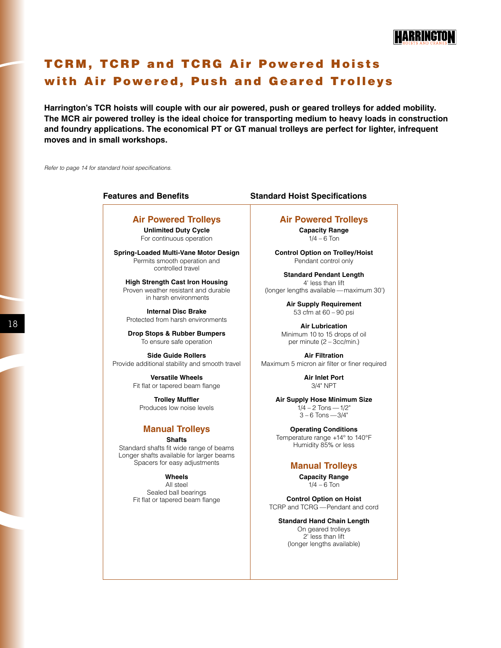# **TCRM, TCRP and TCRG Air Powered Hoists** with Air Powered, Push and Geared Trolleys

**Harrington's TCR hoists will couple with our air powered, push or geared trolleys for added mobility. The MCR air powered trolley is the ideal choice for transporting medium to heavy loads in construction and foundry applications. The economical PT or GT manual trolleys are perfect for lighter, infrequent moves and in small workshops.**

*Refer to page 14 for standard hoist specifications.*

### **Air Powered Trolleys**

**Unlimited Duty Cycle** For continuous operation

**Spring-Loaded Multi-Vane Motor Design** Permits smooth operation and controlled travel

**High Strength Cast Iron Housing** Proven weather resistant and durable in harsh environments

**Internal Disc Brake** Protected from harsh environments

**Drop Stops & Rubber Bumpers** To ensure safe operation

**Side Guide Rollers** Provide additional stability and smooth travel

> **Versatile Wheels** Fit flat or tapered beam flange

**Trolley Muffler** Produces low noise levels

# **Manual Trolleys**

**Shafts** Standard shafts fit wide range of beams Longer shafts available for larger beams Spacers for easy adjustments

**Wheels**

All steel Sealed ball bearings Fit flat or tapered beam flange

#### **Features and Benefits Standard Hoist Specifications**

#### **Air Powered Trolleys**

**Capacity Range**  $1/4 - 6$  Ton

**Control Option on Trolley/Hoist** Pendant control only

**Standard Pendant Length** 4' less than lift (longer lengths available —maximum 30')

> **Air Supply Requirement** 53 cfm at 60 – 90 psi

**Air Lubrication** Minimum 10 to 15 drops of oil per minute (2 – 3cc/min.)

**Air Filtration** Maximum 5 micron air filter or finer required

> **Air Inlet Port** 3/4" NPT

**Air Supply Hose Minimum Size**  $1/4 - 2$  Tons -  $1/2$ " 3 – 6 Tons —3/4"

**Operating Conditions** Temperature range +14° to 140°F Humidity 85% or less

### **Manual Trolleys**

**Capacity Range**  $1/4 - 6$  Ton

**Control Option on Hoist** TCRP and TCRG — Pendant and cord

**Standard Hand Chain Length** On geared trolleys 2' less than lift (longer lengths available)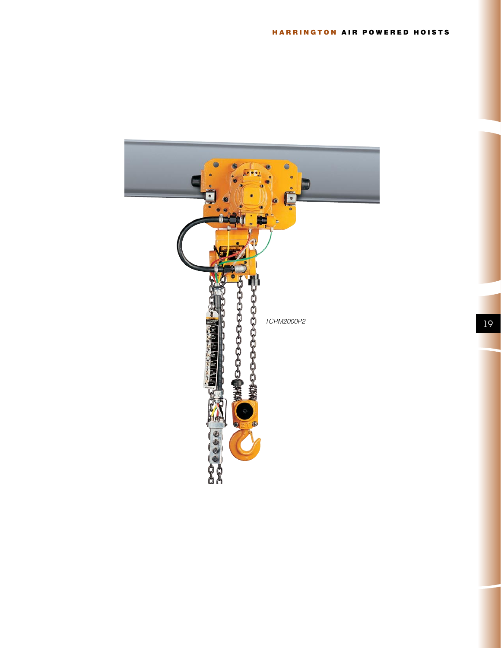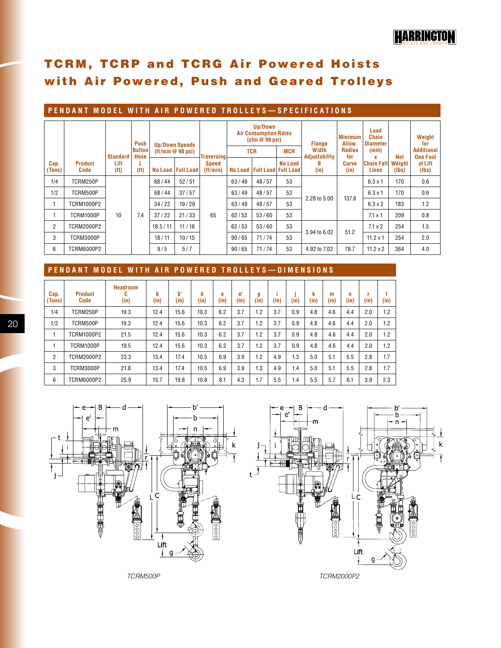# **TCRM, TCRP and TCRG Air Powered Hoists** with Air Powered, Push and Geared Trolleys

# **Pendant Model w i t h A ir Po w ered T rolley s — S p ecification s**

|                |                        |                           | Push                  |                 | <b>Up/Down Speeds</b> |                         |       | Up/Down<br><b>Air Consumption Rates</b><br>$(cfm \otimes 90 \text{ psi})$ |                | <b>Flange</b>                 | <b>Minimum</b><br>Allow. | Load<br><b>Chain</b><br><b>Diameter</b> |                 | Weight<br>for                        |
|----------------|------------------------|---------------------------|-----------------------|-----------------|-----------------------|-------------------------|-------|---------------------------------------------------------------------------|----------------|-------------------------------|--------------------------|-----------------------------------------|-----------------|--------------------------------------|
|                |                        | <b>Standard</b>           | <b>Button</b><br>Hose | (tt/min@90 psi) |                       | <b>Traversing</b>       |       | <b>TCR</b>                                                                | <b>MCR</b>     | Width<br><b>Adjustability</b> |                          | (mm)                                    | Net             | <b>Additional</b><br><b>One Foot</b> |
| Cap.<br>(Tons) | <b>Product</b><br>Code | Lift<br>(f <sup>t</sup> ) | (f <sup>t</sup> )     | No Load         | <b>Full Load</b>      | <b>Speed</b><br>ft/min) |       | No Load   Full Load   Full Load                                           | <b>No Load</b> | в<br>(in)                     | for<br>Curve<br>(in)     | <b>Chain Fall</b><br>Lines              | Weight<br>(lbs) | of Lift<br>(lbs)                     |
| 1/4            | TCRM250P               |                           |                       | 68/44           | 52/51                 |                         | 63/49 | 48/57                                                                     | 53             |                               |                          | $6.3 \times 1$                          | 170             | 0.6                                  |
| 1/2            | TCRM500P               |                           |                       | 68/44           | 37/57                 |                         | 63/49 | 48/57                                                                     | 53             | 2.28 to 5.00                  | 137.8                    | $6.3 \times 1$                          | 170             | 0.6                                  |
|                | <b>TCRM1000P2</b>      |                           |                       | 34/22           | 19/29                 |                         | 63/49 | 48/57                                                                     | 53             |                               |                          | $6.3 \times 2$                          | 183             | 1.2                                  |
|                | TCRM1000P              | 10                        | 7.4                   | 37/22           | 21/33                 | 65                      | 62/53 | 53/60                                                                     | 53             |                               |                          | $7.1 \times 1$                          | 209             | 0.8                                  |
| $\overline{2}$ | TCRM2000P2             |                           |                       | 18.5/11         | 11/16                 | 62/53                   | 53/60 | 53                                                                        |                | 51.2                          | $7.1 \times 2$           | 254                                     | 1.5             |                                      |
| 3              | TCRM3000P              |                           |                       | 10/15<br>18/11  |                       | 90/65                   | 71/74 | 3.94 to 6.02<br>53                                                        |                |                               | $11.2 \times 1$          | 254                                     | 2.0             |                                      |
| 6              | <b>TCRM6000P2</b>      |                           |                       | 9/5             | 5/7                   |                         | 90/65 | 71/74                                                                     | 53             | 4.92 to 7.02                  | 78.7                     | $11.2 \times 2$                         | 364             | 4.0                                  |

## **Pendant Model w i t h A ir Po w ered T rolley s — D i m e n s ion s**

| Cap.<br>(Tons) | <b>Product</b><br>Code | <b>Headroom</b><br>C<br>(in) | b<br>(in) | p,<br>(in) | d<br>(in) | e<br>(in) | e'<br>(in) | g<br>(in) | (in) | (in) | k<br>(in) | m<br>(in) | n<br>(in) | r<br>(in) | (in) |
|----------------|------------------------|------------------------------|-----------|------------|-----------|-----------|------------|-----------|------|------|-----------|-----------|-----------|-----------|------|
| 1/4            | TCRM250P               | 19.3                         | 12.4      | 15.6       | 10.3      | 6.2       | 3.7        | 1.2       | 3.7  | 0.9  | 4.8       | 4.6       | 4.4       | 2.0       | 1.2  |
| 1/2            | TCRM500P               | 19.3                         | 12.4      | 15.6       | 10.3      | 6.2       | 3.7        | 1.2       | 3.7  | 0.9  | 4.8       | 4.6       | 4.4       | 2.0       | 1.2  |
|                | <b>TCRM1000P2</b>      | 21.5                         | 12.4      | 15.6       | 10.3      | 6.2       | 3.7        | 1.2       | 3.7  | 0.9  | 4.8       | 4.6       | 4.4       | 2.0       | 1.2  |
|                | TCRM1000P              | 19.5                         | 12.4      | 15.6       | 10.3      | 6.2       | 3.7        | 1.2       | 3.7  | 0.9  | 4.8       | 4.6       | 4.4       | 2.0       | 1.2  |
| $\overline{2}$ | TCRM2000P2             | 23.3                         | 13.4      | 17.4       | 10.5      | 6.9       | 3.9        | 1.2       | 4.9  | 1.3  | 5.0       | 5.1       | 5.5       | 2.8       | 1.7  |
| 3              | <b>TCRM3000P</b>       | 21.8                         | 13.4      | 17.4       | 10.5      | 6.9       | 3.9        | 1.3       | 4.9  | 1.4  | 5.0       | 5.1       | 5.5       | 2.8       | 1.7  |
| 6              | <b>TCRM6000P2</b>      | 25.9                         | 15.7      | 19.8       | 10.8      | 8.1       | 4.3        | 1.7       | 5.5  | 1.4  | 5.5       | 5.7       | 6.1       | 3.9       | 2.3  |
|                |                        |                              |           |            |           |           |            |           |      |      |           |           |           |           |      |



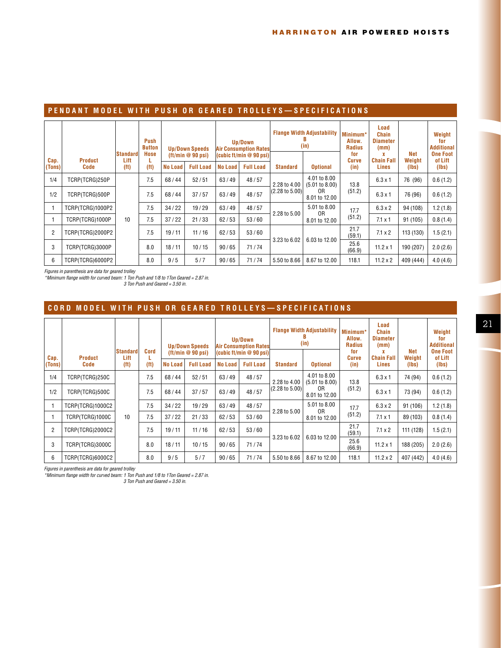### **Pendant Model w i t h P ush or Geared T rolley s — S p ecification s**

| Cap.           | <b>Product</b>   | <b>Standard</b><br>Lift | Push<br><b>Button</b><br><b>Hose</b> |         | <b>Up/Down Speeds</b><br>(tt/min@90 psi) |                | Up/Down<br><b>Air Consumption Rates</b><br>(cubic ft/min $@90$ psi) |                           | <b>Flange Width Adjustability</b><br>(in) | Minimum*<br>Allow.<br><b>Radius</b><br>for<br><b>Curve</b> | Load<br><b>Chain</b><br><b>Diameter</b><br>(mm)<br><b>Chain Fall</b> | Net<br>Weight | Weight<br>for<br><b>Additional</b><br><b>One Foot</b><br>of Lift |
|----------------|------------------|-------------------------|--------------------------------------|---------|------------------------------------------|----------------|---------------------------------------------------------------------|---------------------------|-------------------------------------------|------------------------------------------------------------|----------------------------------------------------------------------|---------------|------------------------------------------------------------------|
| (Tons)         | <b>Code</b>      | (f <sup>t</sup> )       | (f <sup>t</sup> )                    | No Load | <b>Full Load</b>                         | <b>No Load</b> | <b>Full Load</b>                                                    | <b>Standard</b>           | <b>Optional</b>                           | (in)                                                       | Lines                                                                | (lbs)         | (Ibs)                                                            |
| 1/4            | TCRP(TCRG)250P   |                         | 7.5                                  | 68/44   | 52/51                                    | 63/49          | 48/57                                                               | 2.28 to 4.00              | 4.01 to 8.00<br>(5.01 to 8.00)            | 13.8                                                       | $6.3 \times 1$                                                       | 76 (96)       | 0.6(1.2)                                                         |
| 1/2            | TCRP(TCRG)500P   |                         | 7.5                                  | 68/44   | 37/57                                    | 63/49          | 48/57                                                               | $(2.28 \text{ to } 5.00)$ | 0R<br>8.01 to 12.00                       | (51.2)                                                     | $6.3 \times 1$                                                       | 76 (96)       | 0.6(1.2)                                                         |
|                | TCRP(TCRG)1000P2 |                         | 7.5                                  | 34/22   | 19/29                                    | 63/49          | 48/57                                                               | 2.28 to 5.00              | 5.01 to 8.00<br>0R                        | 17.7                                                       | $6.3 \times 2$                                                       | 94 (108)      | 1.2(1.8)                                                         |
|                | TCRP(TCRG)1000P  | 10                      | 7.5                                  | 37/22   | 21/33                                    | 62/53          | 53/60                                                               |                           | 8.01 to 12.00                             | (51.2)                                                     | $7.1 \times 1$                                                       | 91 (105)      | 0.8(1.4)                                                         |
| $\overline{2}$ | TCRP(TCRG)2000P2 |                         | 7.5                                  | 19/11   | 11/16                                    | 62/53          | 53/60                                                               | 3.23 to 6.02              | 21.7<br>(59.1)                            |                                                            | $7.1 \times 2$                                                       | 113 (130)     | 1.5(2.1)                                                         |
| 3              | TCRP(TCRG)3000P  |                         | 8.0                                  | 18/11   | 10/15                                    | 90/65          | 71/74                                                               |                           | 6.03 to 12.00                             | 25.6<br>(66.9)                                             | $11.2 \times 1$                                                      | 190 (207)     | 2.0(2.6)                                                         |
| 6              | TCRP(TCRG)6000P2 |                         | 8.0                                  | 9/5     | 5/7                                      | 90/65          | 71/74                                                               | 5.50 to 8.66              | 8.67 to 12.00                             | 118.1                                                      | $11.2 \times 2$                                                      | 409 (444)     | 4.0(4.6)                                                         |

*Figures in parenthesis are data for geared trolley*

*\*Minimum flange width for curved beam: 1 Ton Push and 1/8 to 1Ton Geared = 2.87 in. 3 Ton Push and Geared = 3.50 in.*

## **C ord Model w i t h P ush or Geared T rolley s — S p ecification s**

|                |                        | Standard                  | Cord              |                | <b>Up/Down Speeds</b><br>$(tt/min \otimes 90 psi)$ |                | Up/Down<br><b>Air Consumption Rates</b><br>(cubic ft/min $@90$ psi) |                 | <b>Flange Width Adjustability</b><br>(in) | Minimum*<br>Allow.<br><b>Radius</b><br>for | Load<br>Chain<br><b>Diameter</b><br>(mm) | Net             | Weight<br>for<br><b>Additional</b><br><b>One Foot</b> |
|----------------|------------------------|---------------------------|-------------------|----------------|----------------------------------------------------|----------------|---------------------------------------------------------------------|-----------------|-------------------------------------------|--------------------------------------------|------------------------------------------|-----------------|-------------------------------------------------------|
| Cap.<br>(Tons) | <b>Product</b><br>Code | Lift<br>(f <sup>t</sup> ) | (f <sup>t</sup> ) | <b>No Load</b> | <b>Full Load</b>                                   | <b>No Load</b> | <b>Full Load</b>                                                    | <b>Standard</b> | <b>Optional</b>                           | <b>Curve</b><br>(in)                       | <b>Chain Fall</b><br>Lines               | Weight<br>(Ibs) | of Lift<br>(Ibs)                                      |
| 1/4            | TCRP(TCRG)250C         |                           | 7.5               | 68/44          | 52/51                                              | 63/49          | 48/57                                                               | 2.28 to 4.00    | 4.01 to 8.00<br>(5.01 to 8.00)            | 13.8                                       | $6.3 \times 1$                           | 74 (94)         | 0.6(1.2)                                              |
| 1/2            | TCRP(TCRG)500C         |                           | 7.5               | 68/44          | 37/57                                              | 63/49          | 48/57                                                               | (2.28 to 5.00)  | 0R<br>8.01 to 12.00                       | (51.2)                                     | $6.3 \times 1$                           | 73 (94)         | 0.6(1.2)                                              |
|                | TCRP(TCRG)1000C2       |                           | 7.5               | 34/22          | 19/29                                              | 63/49          | 48/57                                                               | 2.28 to 5.00    | 5.01 to 8.00<br>0R                        | 17.7                                       | $6.3 \times 2$                           | 91 (106)        | 1.2(1.8)                                              |
|                | TCRP(TCRG)1000C        | 10                        | 7.5               | 37/22          | 21/33                                              | 62/53          | 53/60                                                               |                 | 8.01 to 12.00                             | (51.2)                                     | $7.1 \times 1$                           | 89 (103)        | 0.8(1.4)                                              |
| $\overline{2}$ | TCRP(TCRG)2000C2       |                           | 7.5               | 19/11          | 11/16                                              | 62/53          | 53/60                                                               | 3.23 to 6.02    | 6.03 to 12.00                             | 21.7<br>(59.1)                             | $7.1 \times 2$                           | 111 (128)       | 1.5(2.1)                                              |
| 3              | TCRP(TCRG)3000C        |                           | 8.0               | 18/11          | 10/15                                              | 90/65          | 71/74                                                               |                 |                                           | 25.6<br>(66.9)                             | $11.2 \times 1$                          | 188 (205)       | 2.0(2.6)                                              |
| 6              | TCRP(TCRG)6000C2       |                           | 8.0               | 9/5            | 5/7                                                | 90/65          | 71/74                                                               | 5.50 to 8.66    | 8.67 to 12.00                             | 118.1                                      | $11.2 \times 2$                          | 407 (442)       | 4.0(4.6)                                              |

*Figures in parenthesis are data for geared trolley*

*\*Minimum flange width for curved beam: 1 Ton Push and 1/8 to 1Ton Geared = 2.87 in. 3 Ton Push and Geared = 3.50 in.*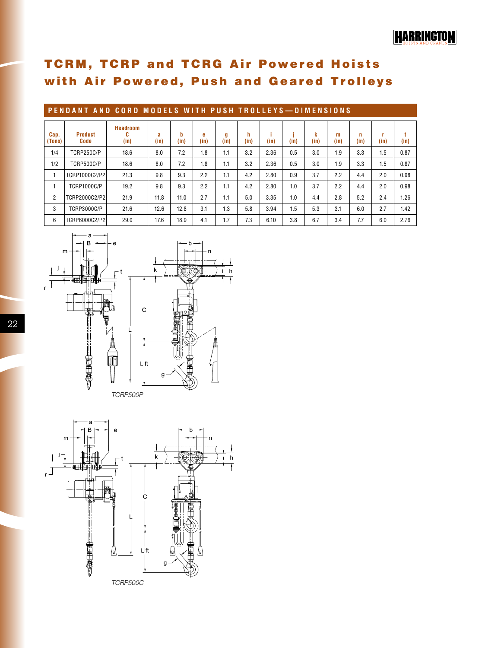# HARRINGTON

# **TCRM, TCRP and TCRG Air Powered Hoists** with Air Powered, Push and Geared Trolleys

|                | PENDANT AND CORD MODELS WITH PUSH TROLLEYS-DIMENSIONS |                              |           |           |           |           |           |      |      |           |           |           |           |      |  |
|----------------|-------------------------------------------------------|------------------------------|-----------|-----------|-----------|-----------|-----------|------|------|-----------|-----------|-----------|-----------|------|--|
| Cap.<br>(Tons) | <b>Product</b><br>Code                                | <b>Headroom</b><br>C<br>(in) | a<br>(in) | b<br>(in) | e<br>(in) | g<br>(in) | h<br>(in) | (in) | (in) | k<br>(in) | m<br>(in) | n<br>(in) | ۲<br>(in) | (in) |  |
| 1/4            | <b>TCRP250C/P</b>                                     | 18.6                         | 8.0       | 7.2       | 1.8       | 1.1       | 3.2       | 2.36 | 0.5  | 3.0       | 1.9       | 3.3       | 1.5       | 0.87 |  |
| 1/2            | <b>TCRP500C/P</b>                                     | 18.6                         | 8.0       | 7.2       | 1.8       | 1.1       | 3.2       | 2.36 | 0.5  | 3.0       | 1.9       | 3.3       | 1.5       | 0.87 |  |
|                | TCRP1000C2/P2                                         | 21.3                         | 9.8       | 9.3       | 2.2       | 1.1       | 4.2       | 2.80 | 0.9  | 3.7       | 2.2       | 4.4       | 2.0       | 0.98 |  |
|                | <b>TCRP1000C/P</b>                                    | 19.2                         | 9.8       | 9.3       | 2.2       | 1.1       | 4.2       | 2.80 | 1.0  | 3.7       | 2.2       | 4.4       | 2.0       | 0.98 |  |
| $\overline{2}$ | TCRP2000C2/P2                                         | 21.9                         | 11.8      | 11.0      | 2.7       | 1.1       | 5.0       | 3.35 | 1.0  | 4.4       | 2.8       | 5.2       | 2.4       | 1.26 |  |
| 3              | <b>TCRP3000C/P</b>                                    | 21.6                         | 12.6      | 12.8      | 3.1       | 1.3       | 5.8       | 3.94 | 1.5  | 5.3       | 3.1       | 6.0       | 2.7       | 1.42 |  |
| 6              | TCRP6000C2/P2                                         | 29.0                         | 17.6      | 18.9      | 4.1       | 1.7       | 7.3       | 6.10 | 3.8  | 6.7       | 3.4       | 7.7       | 6.0       | 2.76 |  |